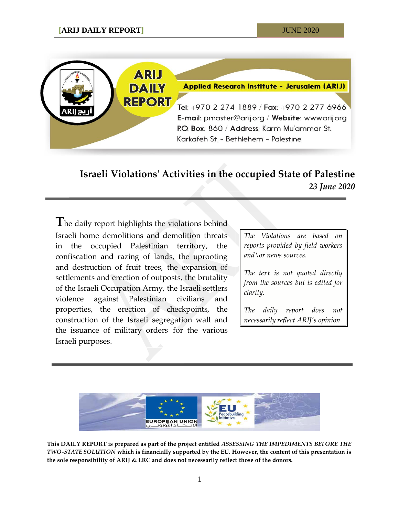

## **Israeli Violations' Activities in the occupied State of Palestine** *23 June 2020*

**T**he daily report highlights the violations behind Israeli home demolitions and demolition threats in the occupied Palestinian territory, the confiscation and razing of lands, the uprooting and destruction of fruit trees, the expansion of settlements and erection of outposts, the brutality of the Israeli Occupation Army, the Israeli settlers violence against Palestinian civilians and properties, the erection of checkpoints, the construction of the Israeli segregation wall and the issuance of military orders for the various Israeli purposes.

*The Violations are based on reports provided by field workers and\or news sources.*

*The text is not quoted directly from the sources but is edited for clarity.*

*The daily report does not necessarily reflect ARIJ's opinion.*



**This DAILY REPORT is prepared as part of the project entitled** *ASSESSING THE IMPEDIMENTS BEFORE THE TWO-STATE SOLUTION* **which is financially supported by the EU. However, the content of this presentation is the sole responsibility of ARIJ & LRC and does not necessarily reflect those of the donors.**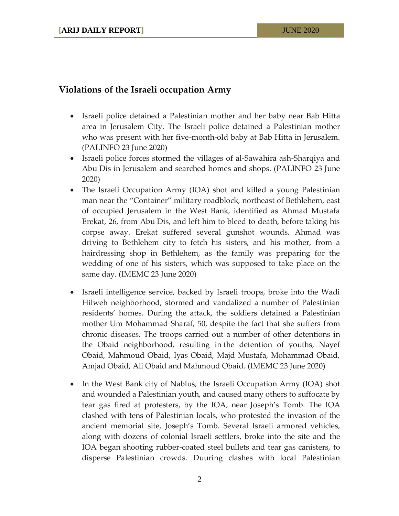## **Violations of the Israeli occupation Army**

- Israeli police detained a Palestinian mother and her baby near Bab Hitta area in Jerusalem City. The Israeli police detained a Palestinian mother who was present with her five-month-old baby at Bab Hitta in Jerusalem. (PALINFO 23 June 2020)
- Israeli police forces stormed the villages of al-Sawahira ash-Sharqiya and Abu Dis in Jerusalem and searched homes and shops. (PALINFO 23 June 2020)
- The Israeli Occupation Army (IOA) shot and killed a young Palestinian man near the "Container" military roadblock, northeast of Bethlehem, east of occupied Jerusalem in the West Bank, identified as Ahmad Mustafa Erekat, 26, from Abu Dis, and left him to bleed to death, before taking his corpse away. Erekat suffered several gunshot wounds. Ahmad was driving to Bethlehem city to fetch his sisters, and his mother, from a hairdressing shop in Bethlehem, as the family was preparing for the wedding of one of his sisters, which was supposed to take place on the same day. (IMEMC 23 June 2020)
- Israeli intelligence service, backed by Israeli troops, broke into the Wadi Hilweh neighborhood, stormed and vandalized a number of Palestinian residents' homes. During the attack, the soldiers detained a Palestinian mother Um Mohammad Sharaf, 50, despite the fact that she suffers from chronic diseases. The troops carried out a number of other detentions in the Obaid neighborhood, resulting in the detention of youths, Nayef Obaid, Mahmoud Obaid, Iyas Obaid, Majd Mustafa, Mohammad Obaid, Amjad Obaid, Ali Obaid and Mahmoud Obaid. (IMEMC 23 June 2020)
- In the West Bank city of Nablus, the Israeli Occupation Army (IOA) shot and wounded a Palestinian youth, and caused many others to suffocate by tear gas fired at protesters, by the IOA, near Joseph's Tomb. The IOA clashed with tens of Palestinian locals, who protested the invasion of the ancient memorial site, Joseph's Tomb. Several Israeli armored vehicles, along with dozens of colonial Israeli settlers, broke into the site and the IOA began shooting rubber-coated steel bullets and tear gas canisters, to disperse Palestinian crowds. Duuring clashes with local Palestinian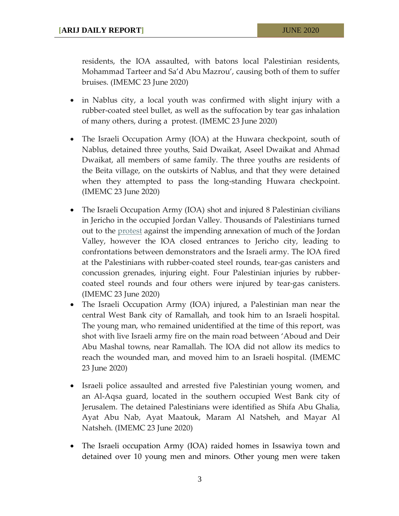residents, the IOA assaulted, with batons local Palestinian residents, Mohammad Tarteer and Sa'd Abu Mazrou', causing both of them to suffer bruises. (IMEMC 23 June 2020)

- in Nablus city, a local youth was confirmed with slight injury with a rubber-coated steel bullet, as well as the suffocation by tear gas inhalation of many others, during a protest. (IMEMC 23 June 2020)
- The Israeli Occupation Army (IOA) at the Huwara checkpoint, south of Nablus, detained three youths, Said Dwaikat, Aseel Dwaikat and Ahmad Dwaikat, all members of same family. The three youths are residents of the Beita village, on the outskirts of Nablus, and that they were detained when they attempted to pass the long-standing Huwara checkpoint. (IMEMC 23 June 2020)
- The Israeli Occupation Army (IOA) shot and injured 8 Palestinian civilians in Jericho in the occupied Jordan Valley. Thousands of Palestinians turned out to the [protest](http://imemc.org/article/palestinians-set-up-protest-camp-in-al-aghwar-area-to-challenge-israeli-annexation-plan/) against the impending annexation of much of the Jordan Valley, however the IOA closed entrances to Jericho city, leading to confrontations between demonstrators and the Israeli army. The IOA fired at the Palestinians with rubber-coated steel rounds, tear-gas canisters and concussion grenades, injuring eight. Four Palestinian injuries by rubbercoated steel rounds and four others were injured by tear-gas canisters. (IMEMC 23 June 2020)
- The Israeli Occupation Army (IOA) injured, a Palestinian man near the central West Bank city of Ramallah, and took him to an Israeli hospital. The young man, who remained unidentified at the time of this report, was shot with live Israeli army fire on the main road between 'Aboud and Deir Abu Mashal towns, near Ramallah. The IOA did not allow its medics to reach the wounded man, and moved him to an Israeli hospital. (IMEMC 23 June 2020)
- Israeli police assaulted and arrested five Palestinian young women, and an Al-Aqsa guard, located in the southern occupied West Bank city of Jerusalem. The detained Palestinians were identified as Shifa Abu Ghalia, Ayat Abu Nab, Ayat Maatouk, Maram Al Natsheh, and Mayar Al Natsheh. (IMEMC 23 June 2020)
- The Israeli occupation Army (IOA) raided homes in Issawiya town and detained over 10 young men and minors. Other young men were taken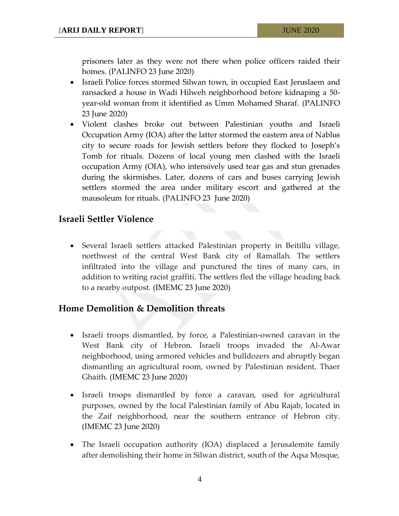prisoners later as they were not there when police officers raided their homes. (PALINFO 23 June 2020)

- Israeli Police forces stormed Silwan town, in occupied East Jeruslaem and ransacked a house in Wadi Hilweh neighborhood before kidnaping a 50 year-old woman from it identified as Umm Mohamed Sharaf. (PALINFO 23 June 2020)
- Violent clashes broke out between Palestinian youths and Israeli Occupation Army (IOA) after the latter stormed the eastern area of Nablus city to secure roads for Jewish settlers before they flocked to Joseph's Tomb for rituals. Dozens of local young men clashed with the Israeli occupation Army (OIA), who intensively used tear gas and stun grenades during the skirmishes. Later, dozens of cars and buses carrying Jewish settlers stormed the area under military escort and gathered at the mausoleum for rituals. (PALINFO 23 June 2020)

## **Israeli Settler Violence**

 Several Israeli settlers attacked Palestinian property in Beitillu village, northwest of the central West Bank city of Ramallah. The settlers infiltrated into the village and punctured the tires of many cars, in addition to writing racist graffiti. The settlers fled the village heading back to a nearby outpost. (IMEMC 23 June 2020)

## **Home Demolition & Demolition threats**

- Israeli troops dismantled, by force, a Palestinian-owned caravan in the West Bank city of Hebron. Israeli troops invaded the Al-Awar neighborhood, using armored vehicles and bulldozers and abruptly began dismantling an agricultural room, owned by Palestinian resident, Thaer Ghaith. (IMEMC 23 June 2020)
- Israeli troops dismantled by force a caravan, used for agricultural purposes, owned by the local Palestinian family of Abu Rajab, located in the Zaif neighborhood, near the southern entrance of Hebron city. (IMEMC 23 June 2020)
- The Israeli occupation authority (IOA) displaced a Jerusalemite family after demolishing their home in Silwan district, south of the Aqsa Mosque,